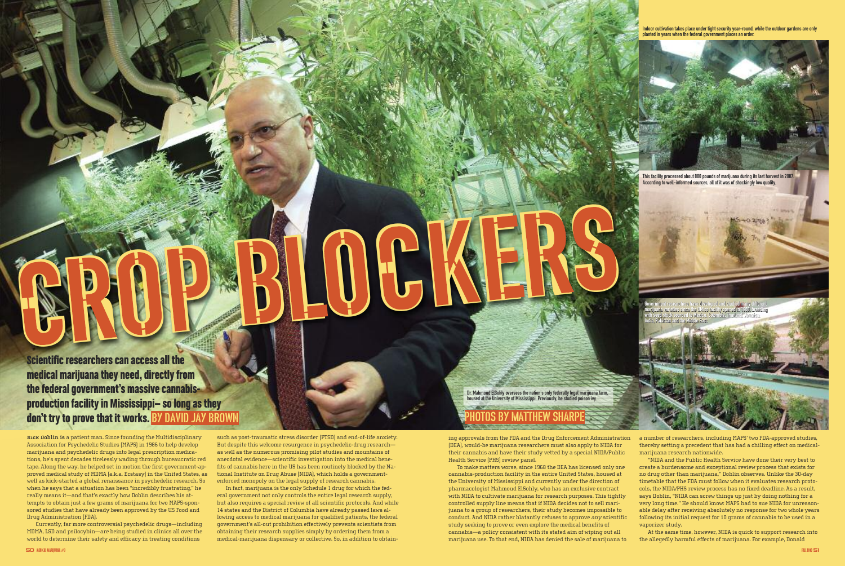Indoor cultivation takes place under tight security year-round, while the outdoor gardens are only planted in years when the federal government places an order.



This facility processed about 880 pounds of marijuana during its last harvest in 2007. According to well-informed sources, all of it was of shockingly low quality.

**Scientific researchers can access all the medical marijuana they need, directly from** the federal government's massive cannabis**production facility in Mississippi- so long as they don't try to prove that it works. BY DAVID JAY BROWN** 

**Rick Doblin is** a patient man. Since founding the Multidisciplinary Association for Psychedelic Studies (MAPS) in 1986 to help develop marijuana and psychedelic drugs into legal prescription medications, he's spent decades tirelessly wading through bureaucratic red tape. Along the way, he helped set in motion the first government-approved medical study of MDMA (a.k.a. Ecstasy) in the United States, as well as kick-started a global renaissance in psychedelic research. So when he says that a situation has been "incredibly frustrating," he really means it—and that's exactly how Doblin describes his attempts to obtain just a few grams of marijuana for two MAPS-sponsored studies that have already been approved by the US Food and Drug Administration (FDA).

Currently, far more controversial psychedelic drugs—including MDMA, LSD and psilocybin—are being studied in clinics all over the world to determine their safety and efficacy in treating conditions

such as post-traumatic stress disorder (PTSD) and end-of-life anxiety. But despite this welcome resurgence in psychedelic-drug research as well as the numerous promising pilot studies and mountains of anecdotal evidence—scientific investigation into the medical benefits of cannabis here in the US has been routinely blocked by the National Institute on Drug Abuse (NIDA), which holds a governmentenforced monopoly on the legal supply of research cannabis.

CROPBLOCKERS

In fact, marijuana is the only Schedule 1 drug for which the federal government not only controls the entire legal research supply, but also requires a special review of all scientific protocols. And while 14 states and the District of Columbia have already passed laws allowing access to medical marijuana for qualified patients, the federal government's all-out prohibition effectively prevents scientists from obtaining their research supplies simply by ordering them from a medical-marijuana dispensary or collective. So, in addition to obtainDr. Mahmoud ElSohly oversees the nation's only federally legal marijuana farm, housed at the University of Mississippi. Previously, he studied poison ivy.

ing approvals from the FDA and the Drug Enforcement Administration (DEA), would-be marijuana researchers must also apply to NIDA for their cannabis and have their study vetted by a special NIDA/Public Health Service (PHS) review panel.

To make matters worse, since 1968 the DEA has licensed only one cannabis-production facility in the entire United States, housed at the University of Mississippi and currently under the direction of pharmacologist Mahmoud ElSohly, who has an exclusive contract with NIDA to cultivate marijuana for research purposes. This tightly controlled supply line means that if NIDA decides not to sell marijuana to a group of researchers, their study becomes impossible to conduct. And NIDA rather blatantly refuses to approve any scientific study seeking to prove or even explore the medical benefits of cannabis—a policy consistent with its stated aim of wiping out all marijuana use. To that end, NIDA has denied the sale of marijuana to

a number of researchers, including MAPS' two FDA-approved studies, thereby setting a precedent that has had a chilling effect on medicalmarijuana research nationwide.

"NIDA and the Public Health Service have done their very best to create a burdensome and exceptional review process that exists for no drug other than marijuana," Doblin observes. Unlike the 30-day timetable that the FDA must follow when it evaluates research protocols, the NIDA/PHS review process has no fixed deadline. As a result, says Doblin, "NIDA can screw things up just by doing nothing for a very long time." He should know: MAPS had to sue NIDA for unreasonable delay after receiving absolutely no response for two whole years following its initial request for 10 grams of cannabis to be used in a vaporizer study.

At the same time, however, NIDA is quick to support research into the allegedly harmful effects of marijuana. For example, Donald

## photos by Matthew Sharpe



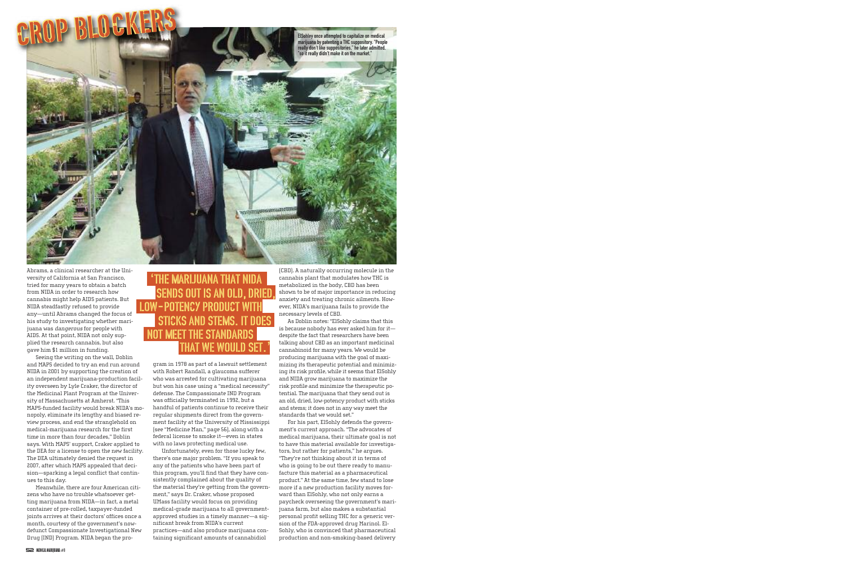Abrams, a clinical researcher at the University of California at San Francisco, tried for many years to obtain a batch from NIDA in order to research how cannabis might help AIDS patients. But NIDA steadfastly refused to provide any—until Abrams changed the focus of his study to investigating whether marijuana was dangerous for people with AIDS. At that point, NIDA not only supplied the research cannabis, but also gave him \$1 million in funding.

Seeing the writing on the wall, Doblin and MAPS decided to try an end run around NIDA in 2001 by supporting the creation of an independent marijuana-production facility overseen by Lyle Craker, the director of the Medicinal Plant Program at the University of Massachusetts at Amherst. "This MAPS-funded facility would break NIDA's monopoly, eliminate its lengthy and biased review process, and end the stranglehold on medical-marijuana research for the first time in more than four decades," Doblin says. With MAPS' support, Craker applied to the DEA for a license to open the new facility. The DEA ultimately denied the request in 2007, after which MAPS appealed that decision—sparking a legal conflict that continues to this day.

Meanwhile, there are four American citizens who have no trouble whatsoever getting marijuana from NIDA—in fact, a metal container of pre-rolled, taxpayer-funded joints arrives at their doctors' offices once a month, courtesy of the government's nowdefunct Compassionate Investigational New Drug (IND) Program. NIDA began the program in 1978 as part of a lawsuit settlement with Robert Randall, a glaucoma sufferer who was arrested for cultivating marijuana but won his case using a "medical necessity" defense. The Compassionate IND Program was officially terminated in 1992, but a handful of patients continue to receive their regular shipments direct from the government facility at the University of Mississippi (see "Medicine Man," page 56), along with a federal license to smoke it—even in states with no laws protecting medical use.

### 'The marijuana that NIDA sends out is an old, dried, low-potency product with sticks and stems. It d<u>oe</u>s not meet the standards **WE WOULD SET**

Unfortunately, even for those lucky few, there's one major problem. "If you speak to any of the patients who have been part of this program, you'll find that they have consistently complained about the quality of the material they're getting from the government," says Dr. Craker, whose proposed UMass facility would focus on providing medical-grade marijuana to all governmentapproved studies in a timely manner—a significant break from NIDA's current practices—and also produce marijuana containing significant amounts of cannabidiol

(CBD). A naturally occurring molecule in the cannabis plant that modulates how THC is metabolized in the body, CBD has been shown to be of major importance in reducing anxiety and treating chronic ailments. However, NIDA's marijuana fails to provide the necessary levels of CBD.

As Doblin notes: "ElSohly claims that this is because nobody has ever asked him for it despite the fact that researchers have been talking about CBD as an important medicinal cannabinoid for many years. We would be producing marijuana with the goal of maximizing its therapeutic potential and minimizing its risk profile, while it seems that ElSohly and NIDA grow marijuana to maximize the risk profile and minimize the therapeutic potential. The marijuana that they send out is an old, dried, low-potency product with sticks and stems; it does not in any way meet the standards that we would set."

For his part, ElSohly defends the government's current approach. "The advocates of medical marijuana, their ultimate goal is not to have this material available for investigators, but rather for patients," he argues. "They're not thinking about it in terms of who is going to be out there ready to manufacture this material as a pharmaceutical product." At the same time, few stand to lose more if a new production facility moves forward than ElSohly, who not only earns a paycheck overseeing the government's marijuana farm, but also makes a substantial personal profit selling THC for a generic version of the FDA-approved drug Marinol. El-Sohly, who is convinced that pharmaceutical production and non-smoking-based delivery